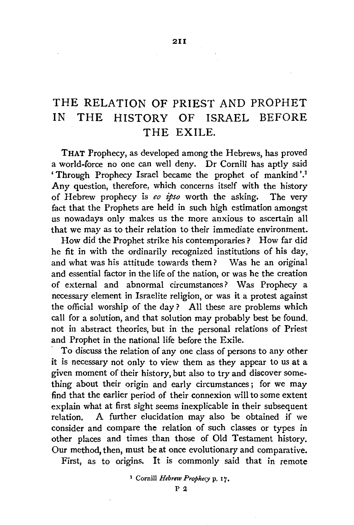# THE RELATION OF PRIEST AND PROPHET IN THE HISTORY OF ISRAEL BEFORE THE EXILE.

211

THAT Prophecy, as developed among the Hebrews, has proved a world-force no one can well deny. Dr Cornill has aptly said ' Through Prophecy Israel became the prophet of mankind '.1 Any question, therefore, which concerns itself with the history of Hebrew prophecy is *eo ipso* worth the asking. The very fact that the Prophets are held in such high estimation amongst us nowadays only makes us the more anxious to ascertain all that we may as to their relation to their immediate environment.

How did the Prophet strike his contemporaries? How far did he fit in with the ordinarily recognized institutions of his day, and what was his attitude towards them? Was he an original and essential factor in the life of the nation, or was he the creation of external and abnormal circumstances? Was Prophecy a necessary element in Israelite religion, or was it a protest against the official worship of the day? All these are problems which call for a solution, and that solution may probably best be found, not in abstract theories, but in the personal relations of Priest and Prophet in the national life before the Exile.

To discuss the relation of any one class of persons to any other it is necessary not only to view them as they appear to us at a given moment of their history, but also to try and discover something about their origin and early circumstances; for we may find that the earlier period of their connexion will to some extent explain what at first sight seems inexplicable in their subsequent relation. A further elucidation may also be obtained if we A further elucidation may also be obtained if we consider and compare the relation of such classes or types in other places and times than those of Old Testament history. Our method, then, must be at once evolutionary and comparative.

First, as to origins. It is commonly said that in remote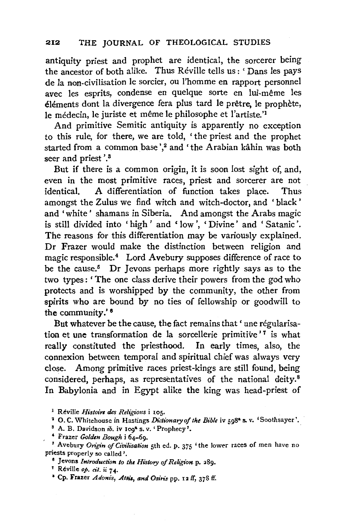antiquity priest and prophet are identical, the sorcerer being the ancestor of both alike. Thus Reville tells us : ' Dans les pays de la non-civilisation le sorcier, ou l'homme en rapport personnel avec les esprits, condense en quelque sorte en lui-même les éléments dont la divergence fera plus tard le prêtre, le prophète, le médecin, le juriste et même le philosophe et l'artiste.'<sup>1</sup>

And primitive Semitic antiquity is apparently no exception to this rule, for there, we are told, ' the priest and the prophet started from a common base',<sup>2</sup> and 'the Arabian kâhin was both seer and priest'.<sup>3</sup>

But if there is a common origin, it is soon lost sight of, and, even in the most primitive races, priest and sorcerer are not identical. A differentiation of function takes place. Thus amongst the Zulus we find witch and witch-doctor, and 'black' and 'white ' shamans in Siberia. And amongst the Arabs magic is still divided into ' high ' and ' low', ' Divine' and ' Satanic'. The reasons for this differentiation may be variously explained. Dr Frazer would make the distinction between religion and magic responsible.<sup>4</sup> Lord Avebury supposes difference of race to be the cause.<sup>5</sup> Dr Jevons perhaps more rightly says as to the two types : ' The one class derive their powers from the god who protects and is worshipped by the community, the other from spirits who are bound by no ties of fellowship or goodwill to the community.' 8

But whatever be the cause, the fact remains that 'une régularisation et une transformation de la sorcellerie primitive'<sup>7</sup> is what really constituted the priesthood. In early times, also, the connexion between temporal and spiritual chief was always very close. Among primitive races priest-kings are still found, being considered, perhaps, as representatives of the national deity.<sup>8</sup> In Babylonia and in Egypt alike the king was head-priest of

<sup>1</sup> Réville *Histoire des Religions* i 105.<br><sup>2</sup> O. C. Whitehouse in Hastings *Dictionary of the Bible* iv 598<sup>8</sup> s. v. 'Soothsayer'. 8 A. B. Davidson *ib.* iv 109<sup>8</sup> s. v. ' Prophecy'.

• Frazer *Go!tkn Bough* i 64-69.

• Avebury *Origin of Civilisation* 5th ed. p. 375 'the lower races of men have no priests properly so called '.

 $\frac{6}{1}$  Jevons *Introduction to the History of Religion* p. 289.<br><sup>†</sup> Réville *op. cit.* ii 74.

<sup>8</sup> Cp. Frazer *Adonis, Attis, and Osiris* pp. 12 ff, 378 ff.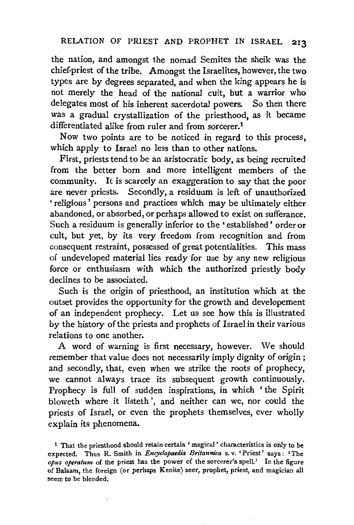# RELATION OF PRIEST AND PROPHET IN ISRAEL 213

the nation, and amongst the nomad Semites the sheik was the chief.priest of the tribe. Amongst the Israelites, however, the two types are by degrees separated, and when the king appears he is not merely the head of the national cult, but a warrior who delegates most of his inherent sacerdotal powers. So then there was a gradual crystallization of the priesthood, as it became differentiated alike from ruler and from sorcerer.<sup>1</sup>

Now two points are to be noticed in regard to this process, which apply to Israel no less than to other nations.

First, priests tend to be an aristocratic body, as being recruited from the better born and more intelligent members of the community. It is scarcely an exaggeration to say that the poor are never priests. Secondly, a residuum is left of unauthorized 'religious ' persons and practices which may be ultimately either abandoned, or absorbed, or perhaps allowed to exist on sufferance. Such a residuum is generally inferior to the 'established' order or cult, but yet, by its very freedom from recognition and from consequent restraint, possessed of great potentialities. This mass of undeveloped material lies ready for use by any new religious force or enthusiasm with which the authorized priestly body declines to be associated.

Such is the origin of priesthood, an institution which at the outset provides the opportunity for the growth and developement of an independent prophecy. Let us see how this is illustrated by the history of the priests and prophets of Israel in their various relations to one another.

A word of warning is first necessary, however. We should remember that value does not necessarily imply dignity of origin; and secondly, that, even when we strike the roots of prophecy, we cannot always trace its subsequent growth continuously. Prophecy is full of sudden inspirations, in which ' the Spirit bloweth where it listeth ', and neither can we, nor could the priests of Israel, or even the prophets themselves, ever wholly explain its phenomena.

<sup>1</sup> That the priesthood should retain certain ' magical' characteristics is only to be expected. Thus R. Smith in *Encyclopaedia Britannica* s. v. 'Priest' says: 'The *opus operatum* of the priest has the power of the sorcerer's spell.' In the figure of Balaam, the foreign (or perhaps Kenite) seer, prophet, priest, and magician all seem to be blended,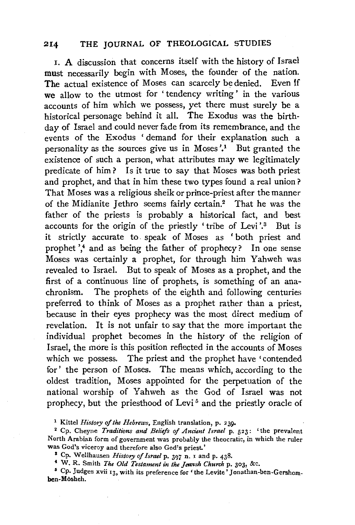I. A discussion that concerns itself with the history of Israel must necessarily begin with Moses, the founder of the nation. The actual existence of Moses can scarcely be denied. Even if we allow to the utmost for 'tendency writing' in the various accounts of him which we possess, yet there must surely be a historical personage behind it all. The Exodus was the birthday of Israel and could never fade from its remembrance, and the events of the Exodus ' demand for their explanation such a personality as the sources give us in Moses '.1 But granted the existence of such a person, what attributes may we legitimately predicate of him? Is it true to say that Moses was both priest and prophet, and that in him these two types found a real union? That Moses was a religious sheik or prince-priest after the manner of the Midianite Jethro seems fairly certain.2 That he was the father of the priests is probably a historical fact, and best accounts for the origin of the priestly 'tribe of Levi '.3 But is it strictly accurate to. speak of Moses as ' both priest and prophet  $i^*$  and as being the father of prophecy? In one sense Moses was certainly a prophet, for through him Yahweh was revealed to Israel. But to speak of Moses as a prophet, and the first of a continuous line of prophets, is something of an anachronism. The prophets of the eighth and following centuries preferred to think of Moses as a prophet rather than a priest, because in their eyes prophecy was the most direct medium of revelation. It is not unfair to say that the more important the individual prophet becomes in the history of the religion of Israel, the more is this position reflected in the accounts of Moses which we possess. The priest and the prophet have 'contended for' the person of Moses. The means which, according to the oldest tradition, Moses appointed for the perpetuation of the national worship of Yahweh as the God of Israel was not prophecy, but the priesthood of Levi<sup>5</sup> and the priestly oracle of

<sup>1</sup> Kittel *History of the Hebrews,* English translation, p. 239. 2 Cp. Cheyne *Traditions and Beliefs* of *Ancient Israel* p. 523: 'the prevalent North Arabian form of government was probably the theocratic, in which the ruler

<sup>&</sup>lt;sup>3</sup> Cp. Wellhausen *History of Israel p.* 397 n. 1 and p. 438.

<sup>•</sup> W. R. Smith *The Old Testament in the Jewish Church* p. 303, &c.

<sup>•</sup> Cp. Judges xvii 13, with its preference for 'the Levite' Jonathan-ben-Gershomben-M6sheh.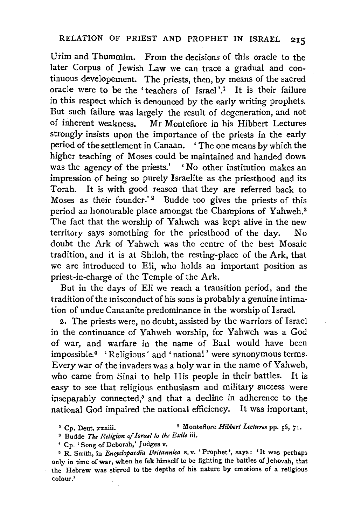### RELATION OF PRIEST AND PROPHET IN ISRAEL **215**

Urim and Thummim. From the decisions of this oracle to the later Corpus of Jewish Law we can trace a gradual and continuous developement. The priests, then, by means of the sacred oracle were to be the 'teachers of Israel '.1 It is their failure in this respect which is denounced by the early writing prophets. But such failure was largely the result of degeneration, and not of inherent weakness. Mr Montefiore in his Hibbert Lectures Mr Montefiore in his Hibbert Lectures. strongly insists upon the importance of the priests in the early period of the settlement in Canaan. ' The one means by which the higher teaching of Moses could be maintained and handed down was the agency of the priests.' 'No other institution makes an impression of being so purely Israelite as the priesthood and its Torah. It is with good reason that they are referred back to Moses as their founder.'<sup>2</sup> Budde too gives the priests of this period an honourable place amongst the Champions of Yahweh.3 The fact that the worship of Yahweh was kept alive in the new territory says something for the priesthood of the day. No doubt the Ark of Yahweh was the centre of the best Mosaic tradition, and it is at Shiloh, the resting-place of the Ark, that we are introduced to Eli, who holds an important position as priest-in-charge of the Temple of the Ark.

But in the days of Eli we reach a transition period, and the tradition of the misconduct of his sons is probably a genuine intimation of undue Canaanite predominance in the worship of Israel.

2. The priests were, no doubt; assisted by the warriors of Israel in the continuance of Yahweh worship, for Yahweh was a God of war, and warfare in the name of Baal would have been impossible. 4 'Religious' and 'national' were synonymous terms. Every war of the invaders was a holy war in the name of Yahweh, who came from Sinai to help His people in their battles. It is easy to see that religious enthusiasm and military success were inseparably connected,<sup>5</sup> and that a decline in adherence to the national God impaired the national efficiency. It was important,

<sup>1</sup> Cp. Deut. xxxiii. 2 Montefiore *Hibbert Lectures* pp. 56, 7r.

<sup>&</sup>lt;sup>3</sup> Budde *The Religion of Israel to the Exile* iii.<br><sup>4</sup> Cp. 'Song of Deborah,' Judges v.

<sup>&</sup>lt;sup>5</sup> R. Smith, in *Encyclopaedia Britannica* s.v. 'Prophet', says: 'It was perhaps only in time of war, when he felt himself to be fighting the battles of Jehovah, that the Hebrew was stirred to the depths of his nature by emotions of a religious colour.'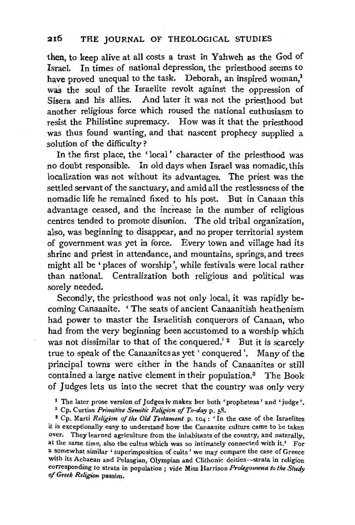then, to keep alive at all costs a trust in Yahweh as the God of Israel. In times of national depression, the priesthood seems to have proved unequal to the task. Deborah, an inspired woman.<sup>1</sup> was the soul of the Israelite revolt against the oppression of Sisera and his allies. And later it was not the priesthood but another religious force which roused the national enthusiasm to resist the Philistine supremacy. How was it that the priesthood was thus found wanting, and that nascent prophecy supplied a solution of the difficulty ?

In the first place, the ' local ' character of the priesthood was no doubt responsible. In old days when Israel was nomadic, this localization was not without its advantages. The priest was the settled servant of the sanctuary, and amid all the restlessness of the nomadic life he remained fixed to his post. But in Canaan this advantage ceased, and the increase in the number of religious centres tended to promote disunion. The old tribal organization, also, was beginning to disappear, and no proper territorial system of government was yet in force. Every town and village had its shrine and priest in attendance, and mountains, springs, and trees might all be 'places of worship', while festivals were local rather than national. Centralization both religious and political was sorely needed.

Secondly, the priesthood was not only local, it was rapidly becoming Canaanite. ' The seats of ancient Canaanitish heathenism had power to master the Israelitish conquerors of Canaan, who had from the very beginning been accustomed to a worship which was not dissimilar to that of the conquered.' <sup>2</sup> But it is scarcely true to speak of the Canaanites as yet ' conquered'. Many of the principal towns were either in the hands of Canaanites or still contained a large native element in their population.3 The Book of Judges lets us into the secret that the country was only very

<sup>1</sup> The later prose version of Judges iv makes her both 'prophetess' and 'judge'.<br><sup>2</sup> Cp. Curtiss *Primitive Semitic Religion of To-day* p. 58.<br><sup>3</sup> Cp. Marti *Religion of the Old Testament* p. 104: 'In the case of the Isr it is exceptionally easy to understand how the Canaanite culture came to be taken over. They learned agriculture from the inhabitants of the country, and naturally, at the same time, also the cultus which was so intimately connected with it.' For a somewhat similar 'superimposition of cults' we may compare the case of Greece with its Achaean and Pelasgian, Olympian and Clithonic deities-strata in religion corresponding to strata in population ; vide Miss Harrison *Prolegomena to the Study of Greek Religion* passim.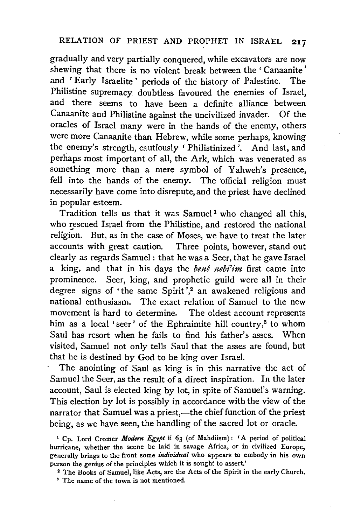gradually and very partially conquered, while excavators are now shewing that there is no violent break between the ' Canaanite ' and ' Early Israelite ' periods of the history of Palestine. The Philistine supremacy doubtless favoured the enemies of Israel, and there seems to have been a definite alliance between Canaanite and Philistine against the uncivilized invader. Of the oracles of Israel many were in the hands of the enemy, others were more Canaanite than Hebrew, while some perhaps, knowing the enemy's strength, cautiously 'Philistinized '. And last, and perhaps most important of all, the Ark, which was venerated as something more than a mere symbol of Yahweh's presence, fell into the hands of the enemy. The official religion must necessarily have come into disrepute, and the priest have declined in popular esteem.

Tradition tells us that it was  $Samuel<sup>1</sup>$  who changed all this, who rescued Israel from the Philistine, and restored the national religion. But, as in the case of Moses, we have to treat the later accounts with great caution. Three points, however, stand out clearly as regards Samuel : that he was a Seer, that he gave Israel a king, and that in his days the *bene nebi'im* first came into prominence. Seer, king, and prophetic guild were all in their degree signs of 'the same Spirit',<sup>2</sup> an awakened religious and national enthusiasm. The exact relation of Samuel to the new movement is hard to determine. The oldest account represents him as a local 'seer' of the Ephraimite hill country,<sup>3</sup> to whom Saul has resort when he fails to find his father's asses. When visited, Samuel not only tells Saul that the asses are found, but that he is destined by God to be king over Israel.

The anointing of Saul as king is in this narrative the act of Samuel the Seer, as the result of a direct inspiration. In the later account, Saul is elected king by lot, in spite of Samuel's warning. This election by lot is possibly in accordance with the view of the narrator that Samuel was a priest,—the chief function of the priest being, as we have seen, the handling of the sacred lot or oracle.

<sup>1</sup> Cp. Lord Cromer *Modern Egypt* ii 63 (of Mahdiism): 'A period of political hurricane, whether the scene be laid in savage Africa, or in civilized Europe, generally brings to the front some *individual* who appears to embody in his own person the genius of the principles which it is sought to assert.'

<sup>2</sup> The Books of Samuel, like Acts, are the Acts of the Spirit in the early Church. <sup>3</sup> The name of the town is not mentioned.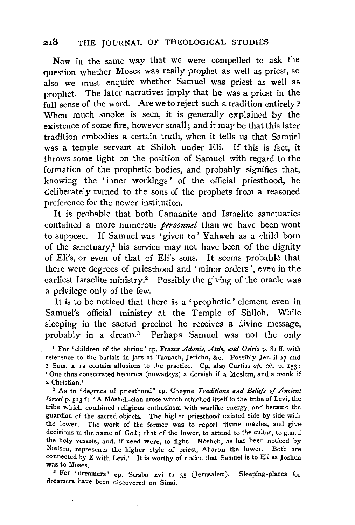Now in the same way that we were compelled to ask the question whether Moses was really prophet as well as priest, so also we must enquire whether Samuel was priest as well as prophet. The later narratives imply that he was a priest in the full sense of the word. Are we to reject such a tradition entirely? When much smoke is seen, it is generally explained by the existence of some fire, however small; and it may be that this later tradition embodies a certain truth, when it tells us that Samuel was a temple servant at Shiloh under Eli. If this is fact, it throws some light on the position of Samuel with regard to the formation of the prophetic bodies, and probably signifies that, knowing the ' inner workings ' of the official priesthood, he deliberately turned to the sons of the prophets from a reasoned preference for the newer institution.

It is probable that both Canaanite and Israelite sanctuaries contained a more numerous *personnel* than we have been wont to suppose. If Samuel was 'given to' Yahweh as a child born of the sanctuary,<sup>1</sup> his service may not have been of the dignity of Eli's, or even of that of Eli's sons. It seems probable that there were degrees of priesthood and ' minor orders', even in the earliest Israelite ministry.<sup>2</sup> Possibly the giving of the oracle was a privilege only of the few.

It is to be noticed that there is a ' prophetic ' element even in Samuel's official ministry at the Temple of Shiloh. While sleeping in the sacred precinct he receives a divine message, probably in a dream.<sup>3</sup> Perhaps Samuel was not the only

1 For 'children of the shrine' cp. Frazer *Adonis, Attis, and Osiris* p. 81 ff, with reference to the burials in jars at Taanach, Jericho, &c. Possibly Jer. ii 27 and 1 Sam. x 12 contain allusions to the practice. Cp. also Curtiss *op. cit.* p. 153 ;. ' One thus consecrated becomes (nowaclays) a dervish if a Moslem, and a monk if a Christian.'

2 As to 'degrees of priesthood' cp. Cheyne *Traditions and Beliefs of Ancient Israel* p. 523 f: 'A Mosheh-clan arose which attached itself to the tribe of Levi, the tribe which combined religious enthusiasm with warlike energy, and became the guardian of the sacred objects. The higher priesthood existed side by side with the lower. The work of the former was to report divine oracles, and give decisions in the name of God ; that of the lower, to attend to the cultus, to guard the holy vessels, and, if need were, to fight. Mosheh, as has been noticed by Nielsen, represents the higher style of priest, Aharon the lower. Both are connected by E with Levi.' It is worthy of notice that Samuel is to Eli as Joshua

<sup>3</sup> For 'dreamers' cp. Strabo xvi II 35 (Jerusalem). Sleeping-places for dreamers have been discovered on. Sinai.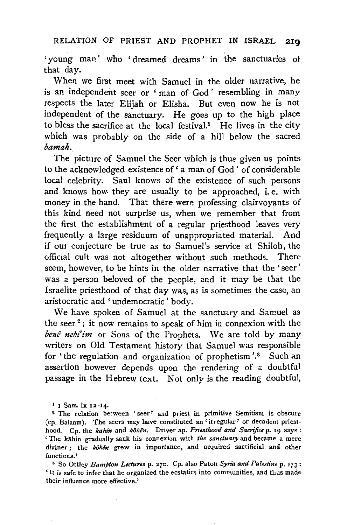' young man' who ' dreamed dreams' in the sanctuaries of that day.

When we first meet with Samuel in the older narrative, he is an independent seer or ' man of God ' resembling in many respects the later Elijah or Elisha. But even now he is not independent of the sanctuary. He goes up to the high place to bless the sacrifice at the local festival.<sup>1</sup> He lives in the city which was probably on the side of a hill below the sacred *bamah.* 

The picture of Samuel the Seer which is thus given us points to the acknowledged existence of ' a man of God ' of considerable local celebrity. Saul knows of the existence of such persons and knows how. they are usually to be approached, i. e. with money in the hand. That there were professing clairvoyants of this kind need not surprise us, when we remember that from the first the establishment of a regular priesthood leaves very frequently a large residuum of unappropriated material. And if our conjecture be true as to Samuel's service at Shiloh, the official cult was not altogether without such methods. There seem, however, to be hints in the older narrative that the 'seer' was a person beloved of the people, and it may be that the Israelite priesthood of that day was, as is sometimes the case, an aristocratic and 'undemocratic' body.

We have spoken of Samuel at the sanctuary and Samuel as the seer<sup>2</sup>; it now remains to speak of him in connexion with the benê nebi'im or Sons of the Prophets. We are told by many writers on Old Testament history that Samuel was responsible for 'the regulation and organization of prophetism'.<sup>3</sup> Such an assertion however depends upon the rendering of a doubtful passage in the Hebrew text. Not only is the reading doubtful,

functions.' 3 So Ottley *Bampton Lectures* p. 270. Cp. also Paton *Syria and Palestine* p. 173: 'It is safe to infer that he organized the ecstatics into communities, and thus made their influence more effective.'

 $1$  I Sam. ix  $12-14$ .

<sup>&</sup>lt;sup>2</sup> The relation between 'seer' and priest in primitive Semitism is obscure (cp. Balaam). The seers may have constituted an 'irregular' or decadent priesthood. Cp. the *kahin* and *kohen*. Driver ap. *Priesthood and Sacrifice* p. 19 says: 'The kahin gradually sank his connexion with *the sanctuary* and became a mere diviner ; the *kohen* grew in importance, and acquired sacrificial and other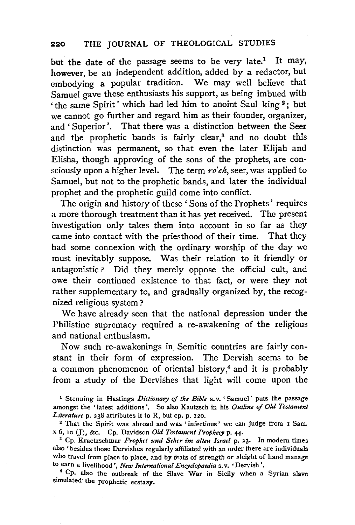but the date of the passage seems to be very late.<sup>1</sup> It may, however, be an independent addition, added by a redactor, but embodying a popular tradition. We may well believe that Samuel gave these enthusiasts his support, as being imbued with 'the same Spirit' which had led him to anoint Saul king <sup>2</sup>: but we cannot go further and regard him as their founder, organizer, and' Superior'. That there was a distinction between the Seer and the prophetic bands is fairly clear,<sup>3</sup> and no doubt this distinction was permanent, so that even the later Elijah and Elisha, though approving of the sons of the prophets, are consciously upon a higher level. The term *ro'eh,* seer, was applied to Samuel, but not to the prophetic bands, and later the individual prophet and the prophetic guild come into conflict.

The origin and history of these ' Sons of the Prophets' requires a more thorough treatment than it has yet received. The present investigation only takes them into account in so far as they came into contact with the priesthood of their time. That they had some connexion with the ordinary worship of the day we must inevitably suppose. Was their relation to it friendly or antagonistic ? Did they merely oppose the official cult, and owe their continued existence to that fact, or were they not rather supplementary to, and gradually organized by, the recognized religious system?

We have already seen that the national depression under the Philistine supremacy required a re-awakening of the religious and national enthusiasm.

Now such re-awakenings in Semitic countries are fairly constant in their form of expression. The Dervish seems to be a common phenomenon of oriental history,<sup>4</sup> and it is probably from a study of the Dervishes that light will come upon the

1 Stenning in Hastings *Dictionary of the Bible* s. v. 'Samuel' puts the passage amongst the 'latest additions'. So also Kautzsch in his *Outline of Old Testament Literature* p. 238 attributes it to R, but cp. p. 120.<br><sup>2</sup> That the Spirit was abroad and was 'infectious' we can judge from I Sam.

 $x$  6, Io (J), &c. Cp. Davidson *Old Testament Prophecy* p. 44.

• Cp. Kraetzschmar *Prophet und Seher im a/ten Israel* p. 23. In modem times also 'besides those Dervishes regularly affiliated with an order there are individuals who travel from place to place, and by feats of strength or sleight of hand manage

to earn a livelihood', *New International Encyclopaedia* s. v. 'Dervish'. *<sup>4</sup>*Cp. also the outbreak of the Slave War in Sicily when a Syrian slave simulated the prophetic ecstasy.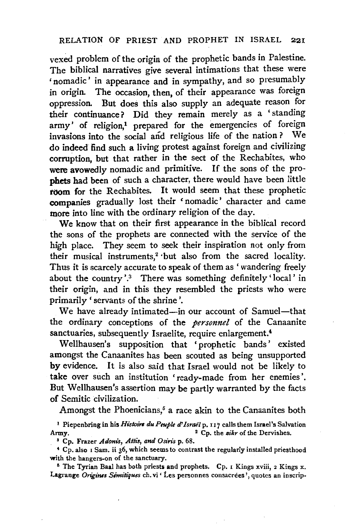vexed problem of the origin of the prophetic bands in Palestine. The biblical narratives give several intimations that these were 'nomadic' in appearance and in sympathy, and so presumably in origin. The occasion, then, of their appearance was foreign oppression. But does this also supply an adequate reason for their continuance? Did they remain merely as a 'standing army' of religion,<sup>1</sup> prepared for the emergencies of foreign invasions into the social and religious life of the nation ? we do indeed find such a living protest against foreign and civilizing corruption, but that rather in the sect of the Rechabites, who were avowedly nomadic and primitive. If the sons of the prophets had been of such a character, there would have been little room for the Rechabites. It would seem that these prophetic companies gradually lost their ' nomadic' character and came more into line with the ordinary religion of the day.

We know that on their first appearance in the biblical record the sons of the prophets are connected with the service of the high place. They seem to seek their inspiration not only from their musical instruments,<sup>2</sup> but also from the sacred locality. Thus it is scarcely accurate to speak of them as 'wandering freely about the country'.<sup>3</sup> There was something definitely 'local' in their origin, and in this they resembled the priests who were primarily 'servants of the shrine'.

We have already intimated-in our account of Samuel-that the ordinary conceptions of the *personnel* of the Canaanite sanctuaries, subsequently Israelite, require enlargement.<sup>4</sup>

Wellhausen's supposition that 'prophetic bands' existed amongst the Canaanites has been scouted as being unsupported by evidence. It is also said that Israel would not be likely to take over such an institution ' ready-made from her enemies'. But Wellhausen's assertion may be partly warranted by the facts of Semitic civilization.

Amongst the Phoenicians,<sup>5</sup> a race akin to the Canaanites both

<sup>1</sup> Piepenbring in his *Histoire du Peuple d'Israël* p. 117 calls them Israel's Salvation Army. <sup>2</sup> Cp. the *sikr* of the Dervishes.<br><sup>2</sup> Cp. Frazer Adonis, Attis, and Osiris p. 68.

<sup>4</sup> Cp. also 1 Sam. ii 36, which seems to contrast the regularly installed priesthood with the hangers-on of the sanctuary.<br>5 The Tyrian Baal has both priests and prophets. Cp. 1 Kings xviii, 2 Kings x.

Lagrange *Origines Sémitiques* ch. vi ' Les personnes consacrées', quotes an inscrip-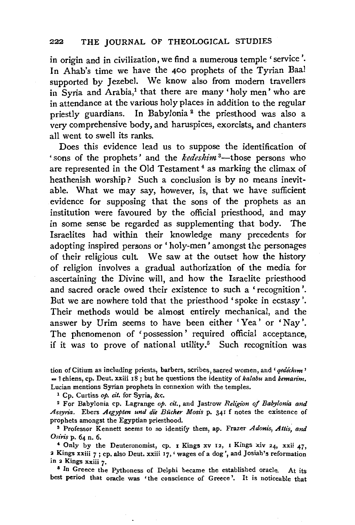in origin and in civilization, we find a numerous temple 'service'. In Ahab's time we have the 400 prophets of the Tyrian Baal supported by Jezebel. We know also from modern travellers in Syria and Arabia,<sup>1</sup> that there are many 'holy men' who are in attendance at the various holy places in addition to the regular priestly guardians. In Babylonia<sup>2</sup> the priesthood was also a very comprehensive body, and haruspices, exorcists, and chanters all went to swell its ranks.

Does this evidence lead us to suppose the identification of ' sons of the prophets' and the *kedeshim*<sup>3</sup>--those persons who are represented in the Old Testament<sup>4</sup> as marking the climax of heathenish worship? Such a conclusion is by no means inevitable. What we may say, however, is, that we have sufficient evidence for supposing that the sons of the prophets as an institution were favoured by the official priesthood, and may in some sense be regarded as supplementing that body. The Israelites had within their knowledge many precedents for adopting inspired persons or 'holy-men' amongst the personages of their religious cult. We saw at the outset how the history of religion involves a gradual authorization of the media for ascertaining the Divine will, and how the Israelite priesthood and sacred oracle owed their existence to such a ' recognition '. But we are nowhere told that the priesthood' spoke in ecstasy'. Their methods would be almost entirely mechanical, and the answer by Urim seems to have been either 'Yea' or 'Nay'. The phenomenon of 'possession' required official acceptance, if it was to prove of national utility.<sup>5</sup> Such recognition was

tion of Citium as including priests, barbers, scribes, sacred women, and' *qedichtm'*  = ! chiens, cp. Deut. xxiii 18; but he questions the identity of *kalabu* and *kemarim.*  Lucian mentions Syrian prophets in connexion with the temples. 1 Cp. Curtiss *op. cit.* for Syria, &c.

2 For Babylonia cp. Lagrange *op. cit.,* and Jastrow *Religion of Babylonia and Assyria.* Ebers *Aegypten und die Bucher Mosis* p. 341 f notes the existence of prophets amongst the Egyptian priesthood.

s Professor Kennett seems to so identify them, ap. Frazer *Adonis, Attis, and Osi'ris* p. 64 n. 6.

' Only by the Deuteronomist, cp. I Kings xv 12, r Kings xiv 24, xxii 47, 2 Kings xxiii 7; cp. also Deut. xxiii 17, 'wages of a dog', and Josiah's reformation in 2 Kings xxiii 7.

<sup>5</sup> In Greece the Pythoness of Delphi became the established oracle. At its best period that oracle was 'the conscience of Greece'. It is noticeable that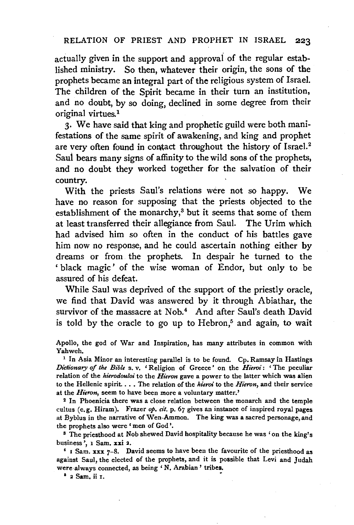actually given in the support and approval of the regular established ministry. So then, whatever their origin, the sons of the prophets became an integral part of the religious system of Israel. The children of the Spirit became in their turn an institution, and no doubt, by so doing, declined in some degree from their original virtues.<sup>1</sup>

3. We have said that king and prophetic guild were both manifestations of the same spirit of awakening, and king and prophet are very often found in contact throughout the history of Israel.<sup>2</sup> Sau1 bears many signs of affinity to the wild sons of the prophets, and no doubt they worked together for the salvation of their country.

With the priests Saul's relations were not so happy. We have no reason for supposing that the priests objected to the establishment of the monarchy,<sup>3</sup> but it seems that some of them at least transferred their allegiance from Saul. The Urim which had advised him so often in the conduct of his battles gave him now no response, and he could ascertain nothing either by dreams or from the prophets. In despair he turned to the ' black magic' of the wise woman of Endor, but only to be assured of his defeat.

While Saul was deprived of the support of the priestly oracle, we find that David was answered by it through Abiathar, the survivor of the massacre at Nob.<sup>4</sup> And after Saul's death David is told by the oracle to go up to  $Hebron<sub>1</sub><sup>5</sup>$  and again, to wait

Apollo, the god of War and Inspiration, has many attributes in common with Yahweh.

<sup>1</sup> In Asia Minor an interesting parallel is to be found. Cp. Ramsay in Hastings *Dictionary of the Bible* s. v. ' Religion of Greece' on the *Hieroi* : ' The peculiar relation of the *hierodouloi* to the *Hieron* gave a power to the latter which was alien to the Hellenic spirit .... The relation of the *hieroi* to the *Hieron,* and their service at the *Hieron,* seem to have been more a voluntary matter.'

<sup>2</sup> In Phoenicia there was a close relation between the monarch and the temple cultus (e.g. Hiram). Frazer *op. cit.* p. *67* gives an instance of inspired royal pages at Byblus in the narrative of Wen-Ammon. The king was a sacred personage, and the prophets also were ' men of God '.

s The priesthood at Nob shewed David hospitality because he was 'on the king's business', 1 Sam. xxi 2.

' 1 Sam. xxx 7-8. David seems to have been the favourite of the priesthood as against Saul, the elected of the prophets, and it is possible that Levi and Judah were always connected, as being' N. Arabian' tribes.

 $^*$  2 Sam. ii 1.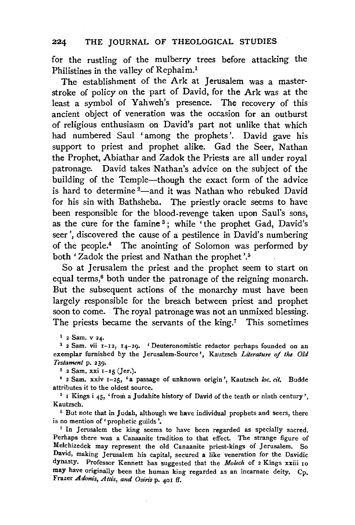for the rustling of the mulberry trees before attacking the Philistines in the valley of Rephaim.1

The establishment of the Ark at Jerusalem was a masterstroke of policy on the part of David, for the Ark was at the least a symbol of Yahweh's presence. The recovery of this ancient object of veneration was the occasion for an outburst of religious enthusiasm on David's part not unlike that which had numbered Saul 'among the prophets'. David gave his support to priest and prophet alike. Gad the Seer, Nathan the Prophet, Abiathar and Zadok the Priests are all under royal patronage. David takes Nathan's advice on the subject of the building of the Temple-though the exact form of the advice is hard to determine<sup>2</sup>—and it was Nathan who rebuked David for his sin with Bathsheba. The priestly oracle seems to have been responsible for the blood-revenge taken upon Saul's sons, as the cure for the famine<sup>3</sup>; while 'the prophet Gad, David's seer', discovered the cause of a pestilence in David's numbering of the people.4 The anointing of Solomon was performed by both 'Zadok the priest and Nathan the prophet'.<sup>5</sup>

So at Jerusalem the priest and the prophet seem to start on equal terms,<sup>6</sup> both under the patronage of the reigning monarch. But the subsequent actions of the monarchy must have been largely responsible for the breach between priest and prophet soon to come. The royal patronage was not an unmixed blessing. The priests became the servants of the king.<sup>7</sup> This sometimes

1 2 Sam. v 24.

<sup>2</sup> 2 Sam. vii 1-12, 14-29. 'Deuteronomistic redactor perhaps founded on an exemplar furnished by the Jerusalem-Source', Kautzsch *Literature of the Old Testament* p. 239.

 $3$  2 Sam. xxi  $1-15$  (Jer.).

• 2 Sam. xxiv 1-25, 'a passage of unknown origin', Kautzsch *loc. cit.* Budde

 $5$  I Kings i 45, 'from a Judahite history of David of the tenth or ninth century', Kautzsch.

<sup>6</sup> But note that in Judah, although we have individual prophets and seers, there is no mention of ' prophetic guilds'.<br><sup>7</sup> In Jerusalem the king seems to have been regarded as specially sacred.

Perhaps there was a Canaanite tradition to that effect. The strange figure of Melchizedek may represent the old Canaanite priest-kings of Jerusalem. So David, making Jerusalem his capital, secured a like veneration for the Davidic dynasty. Professor Kennett has suggested that the *Molech* of 2 Kings xxiii 10 may have originally been the human king regarded as an incarnate deity. Cp. Frazer *Adonis, Attis, and Osiris* p. 401 ff.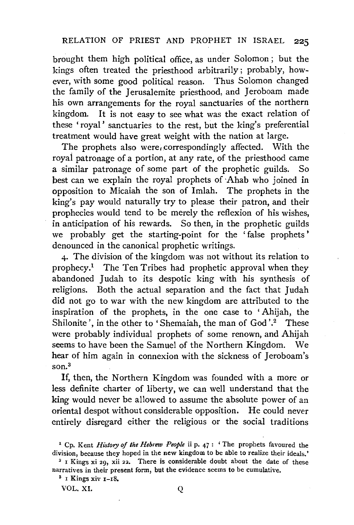brought them high political office, as under Solomon; but the kings often treated the priesthood arbitrarily; probably, however, with some good political reason. Thus Solomon changed the family of the Jerusalemite priesthood, and Jeroboam made his own arrangements for the royal sanctuaries of the northern kingdom. It is not easy to see what was the exact relation of these ' royal ' sanctuaries to the rest, but the king's preferential treatment would have great weight with the nation at large.

The prophets also were, correspondingly affected. With the royai patronage of a portion, at any rate, of the priesthood came a similar patronage of some part of the prophetic guilds. So best can we explain the royal prophets of ·Ahab who joined in opposition to Micaiah the son of lmlah. The prophets in the king's pay would naturally try to please their patron, and their prophecies would tend to be merely the reflexion of his wishes, in anticipation of his rewards. So then, in the prophetic guilds we probably get the starting-point for the ' false prophets ' denounced in the canonical prophetic writings.

4. The division of the kingdom was not without its relation to prophecy.1 The Ten Tribes had prophetic approval when they abandoned Judah to its despotic king with his synthesis of religions. Both the actual separation and the fact that Judah did not go to war with the new kingdom are attributed to the inspiration of the prophets, in the one case to 'Ahijah, the Shilonite', in the other to 'Shemaiah, the man of God'.<sup>2</sup> These were probably individual prophets of some renown, and Ahijah seems to have been the Samuel of the Northern Kingdom. We hear of him again in connexion with the sickness of Jeroboam's son.3

If, then, the Northern Kingdom was founded with a more or less definite charter of liberty, we can well understand that the king would never be allowed to assume the absolute power of an oriental despot without considerable opposition. He could never entirely disregard either the religious or the social traditions

VOL. XI. Q

<sup>&</sup>lt;sup>1</sup> Cp. Kent *History of the Hebrew People* ii p. 47 : 'The prophets favoured the division, because they hoped in the new kingdom to be able to realize their ideals.'

 $^2$  I Kings xi 29, xii 22. There is considerable doubt about the date of these narratives in their present form, but the evidence seems to be cumulative.

 $3$  I Kings xiv  $I-I8$ .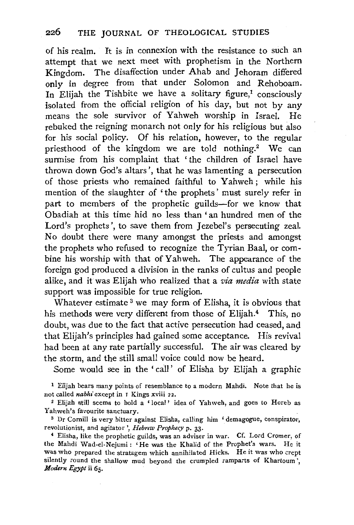of his realm. It is in connexion with the resistance to such an attempt that we next meet with prophetism in the Northern Kingdom. The disaffection under Ahab and Jehoram differed only in degree from that under Solomon and Rehoboam. In Elijah the Tishbite we have a solitary figure,<sup>1</sup> consciously isolated from the official religion of his day, but not by any means the sole survivor of Yahweh worship in Israel. He rebuked the reigning monarch not only for his religious but also for his social policy. Of his relation, however, to the regular priesthood of the kingdom we are told nothing.<sup>2</sup> We can surmise from his complaint that ' the children of Israel have thrown down God's altars', that he was lamenting a persecution of those priests who remained faithful to Yahweh ; while his mention of the slaughter of 'the prophets' must surely refer in part to members of the prophetic guilds-for we know that Obadiah at this time hid no less than 'an hundred men of the Lord's prophets', to save them from Jezebel's persecuting zeal. No doubt there were many amongst the priests and amongst the prophets who refused to recognize the Tyrian Baal, or combine his worship with that of Yahweh. The appearance of the foreign god produced a division in the ranks of cultus and people alike, and it was Elijah who realized that a *via media* with state support was impossible for true religion.

Whatever estimate<sup>3</sup> we may form of Elisha, it is obvious that his methods were very different from those of Elijah.<sup>4</sup> This, no doubt, was due to the fact that active persecution had ceased, and that Elijah's principles had gained some acceptance. His revival had been at any rate partially successful. The air was cleared by the storm, and the still small voice could now be heard.

Some would see in the 'call' of Elisha by Elijah a graphic

1 Elijah bears many points of resemblance to a modern Mahdi. Note that he is not called *nabhi* except in 1 Kings xviii 22.

<sup>2</sup> Elijah still seems to hold a 'local' idea of Yahweh, and goes to Horeb as Yahweh's favourite sanctuary.

<sup>3</sup> Dr Cornill is very bitter against Elisha, calling him ' demagogue, conspirator, revolutionist, and agitator ', *Hebrew Prophecy* p. 33.

<sup>4</sup> Elisha, like the prophetic guilds, was an adviser in war. Cf. Lord Cromer, of the Mahdi Wad-el-Nejumi: 'He was the Khalid of the Prophet's wars. He it was who prepared the stratagem which annihilated Hicks. He it was who crept silently round the shallow mud beyond the crumpled ramparts of Khartoum', *Modern Egypt* ii 65.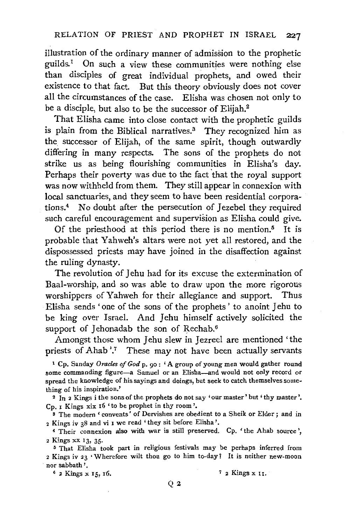illustration of the ordinary manner of admission to the prophetic guilds.<sup>1</sup> On such a view these communities were nothing else than disciples of great individual prophets, and owed their existence to that fact. But this theory obviously does not cover all the circumstances of the case. Elisha was chosen not only to be a disciple, but also to be the successor of Elijah.<sup>2</sup>

That Elisha came into close contact with the prophetic guilds is plain from the Biblical narratives.<sup>3</sup> They recognized him as the. successor of Elijah, of the same spirit, though outwardly differing in many respects. The sons of the prophets do not strike us as being flourishing communities in Elisha's day. Perhaps their poverty was due to the fact 'that the royal support was now withheld from them. They still appear in connexion with local sanctuaries, and they seem to have been residential corporations.4 No doubt after the persecution of Jezebel they required such careful encouragement and supervision as Elisha could give.

Of the priesthood at this period there is no mention.<sup>5</sup> It is probable that Yahweh's altars were not yet all restored, and the dispossessed priests may have joined in the disaffection against the ruling dynasty.

The revolution of Jehu had for its excuse the extermination of Baal-worship, and so was able to draw upon the more rigorous worshippers of Yahweh for their allegiance and support. Thus Elisha sends 'one of the sons of the prophets' to anoint Jehu to be king over Israel. And Jehu himself actively solicited the support of Jehonadab the son of Rechab.<sup>6</sup>

Amongst those whom Jehu slew in Jezreel are mentioned 'the priests of Ahab'.<sup>7</sup> These may not have been actually servants

1 Cp. Sanday *Oracles of God* p. 90 : ' A group of young men would gather round some commanding figure-a Samuel or an Elisha-and would not only record or spread the knowledge of his sayings and doings, but seek to catch themselves something of his inspiration.'

2 In 2 Kings i the sons of the prophets do not say 'our master' but 'thy master'. Cp. 1 Kings xix 16 'to be prophet in thy room'·

s The modern ' convents' of Dervishes are obedient to a Sheik or Elder ; and in <sup>2</sup>Kings iv 38 and vi J we read ' they sit before Elisha '.

4 Their connexion also with war is still preserved. Cp. 'the Ahab source', 2 Kings xx 13, 35.

5 That Elisha took part in religious festivals may be perhaps inferred from 2 Kings iv 23 'Wherefore wilt thou go to him to-day? It is neither new-moon nor sabbath '.

 $6$  2 Kings x 15, 16.  $7$  2 Kings x 11.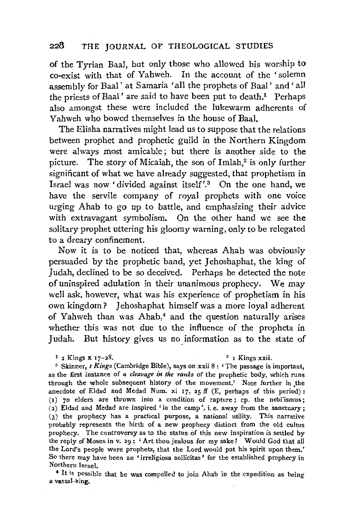of the Tyrian Baal, but only those who allowed his worship to co-exist with that of Yahweh. In the account of the 'solemn assembly for Baal ' at Samaria 'all the prophets of Baal' and ' all the priests of Baal' are said to have been put to death.<sup>1</sup> Perhaps also amongst these were included the lukewarm adherents of Yahweh who bowed themselves in the house of Baal.

The Elisha narratives might lead us to suppose that the relations between prophet and prophetic guild in the Northern Kingdom were always most amicable; but there is another side to the picture. The story of Micaiah, the son of Imlah, $2$  is only further significant of what we have already suggested, that prophetism in Israel was now 'divided against itself'.3 On the one hand, we have the servile company of royal prophets with one voice urging Ahab to go up to battle, and emphasizing their advice with extravagant symbolism. On the other hand we see the solitary prophet uttering his gloomy warning, only to be relegated to a dreary confinement.

Now it is to be noticed that, whereas Ahab was obviously persuaded by the prophetic band, yet Jehoshaphat, the king of Judah, declined to be so deceived. Perhaps he detected the note of uninspired adulation in their unanimous prophecy. We may well ask, however, what was his experience of prophetism in his own kingdom? Jehoshaphat himself was a more loyal adherent of Yahweh than was Ahab,<sup>4</sup> and the question naturally arises whether this was not due to the influence of the prophets in Judah. But history gives us no information as to the state of

1 2 Kings x 17-28. 2 I Kings xxii. 3 Skinner, I *Kings* (Cambridge Bible), says on xxii 8: 'The passage is important, as the first instance of *a cleavage in the ranks* of the prophetic body, which runs through the whole subsequent history of the movement.' Note further in ,the anecdote of Eldad and Medad Num. xi I7, 25 ff (E, perhaps of this period): (1) 70 elders are thrown into a condition of rapture; cp. the nebi'ismus; (2) Eldad and Medad are inspired 'in the camp', i.e. away from the sanctuary ; (3) the prophecy has a practical purpose, a national utility. This narrative probably represents the birth of a new prophecy distinct from the old cultus prophecy. The controversy as to the status of this new inspiration is settled by the reply of Moses in v. 29: 'Art thou jealous for my sake! Would God that all the Lord's people were prophets, that the Lord would put his spirit upon them.' So there may have been an 'irreligiosa sollicitas' for the established prophecy in Northern Israel.

' It is possible that he was compelled to join Ahab in the expedition as being a vassal-king.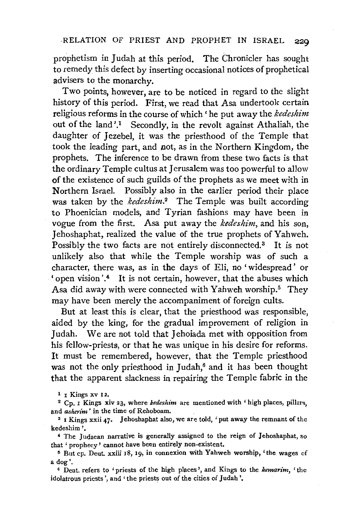prophetism in Judah at this period. The Chronicler has sought to remedy this defect by inserting occasional notices of prophetical advisers to the monarchy.

Two points, however, are to be noticed in regard to the slight history of this period. First, we read that Asa undertook certain religious reforms in the course of which 'he put away the *kedeshim*  out of the land'.<sup>1</sup> Secondly, in the revolt against Athaliah, the daughter of Jezebel, it was the priesthood of the Temple that took the leading part, and not, as in the Northern Kingdom, the prophets. The inference to be drawn from these two facts is that the ordinary Temple cultus at Jerusalem was too powerful to allow of the existence of such guilds of the prophets as we meet with in Northern Israel. Possibly also in the earlier period their place was taken by the *kedeshim*.<sup>2</sup> The Temple was built according to Phoenician models, and Tyrian fashions may have been in vogue from the first. Asa put away the *kedeshim,* and his son, Jehoshaphat, realized the value of the true prophets of Yahweh. Possibly the two facts are not entirely disconnected.<sup>3</sup> It is not unlikely also that while the Temple worship was of such a character, there was, as in the days of Eli, no 'widespread' or 'open vision'.<sup>4</sup> It is not certain, however, that the abuses which Asa did away with were connected with Yahweh worship.5 They may have been merely the accompaniment of foreign cults.

But at least this is clear, that the priesthood was responsible, aided by the king, for the gradual improvement of religion in Judah. We are not told that Jehoiada met with opposition from his fellow-priests, or that he was unique in his desire for reforms. It must be remembered, however, that the Temple priesthood was not the only priesthood in Judah,<sup>6</sup> and it has been thought that the apparent slackness in repairing the Temple fabric in the

<sup>1</sup> I Kings xv 12.

<sup>2</sup> Cp. 1 Kings xiv 23, where *kedeshim* are mentioned with 'high places, pillars, and *asherim*' in the time of Rehoboam.

<sup>3</sup> I Kings xxii 47. Jehoshaphat also, we are told, 'put away the remnant of the kedeshim'.

4 The Judaean narrative is generally assigned to the reign of Jehoshaphat, so that ' prophecy' cannot have been entirely non-existent.

5 But cp. Deut. xxiii 18, 19, in connexion with Yahweh worship, 'the wages of a dog'.

• Deut. refers to 'priests of the high places', and Kings to the *kemarim,* ' the idolatrous priests ', and ' the priests out of the cities of Judah '.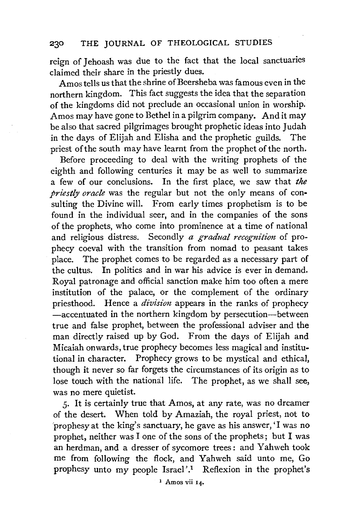reign of Jehoash was due to the fact that the local sanctuaries claimed their share in the priestly dues.

Amos tells us that the shrine of Beersheba was famous even in the northern kingdom. This fact suggests the idea that the separation of the kingdoms did not preclude an occasional union in worship. Amos may have gone to Bethel in a pilgrim company. And it may be also that sacred pilgrimages brought prophetic ideas into Judah in the days of Elijah and Elisha and the prophetic guilds. The priest of the south may have learnt from the prophet of the north.

Before proceeding to deal with the writing prophets of the eighth and following centuries it may be as well to summarize a few of our conclusions. In the first place, we saw that *the priestly oracle* was the regular but not the only means of consulting the Divine will. From early times prophetism is to be found in the individual seer, and in the companies of the sons of the prophets, who come into prominence at a time of national and religious distress. Secondly *a gradual recognition* of prophecy coeval with the transition from nomad to peasant takes place. The prophet comes to be regarded as a necessary part of the cultus. In politics and in war his advice is ever in demand. Royal patronage and official sanction make him too often a mere institution of the palace, or the complement of the ordinary priesthood. Hence a *division* appears in the ranks of prophecy -accentuated in the northern kingdom by persecution-between true and false prophet, between the professional adviser and the man directly raised up by God. From the days of Elijah and Micaiah onwards, true prophecy becomes less magical and institutional in character. Prophecy grows to be mystical and ethical, though it never so far forgets the circumstances of its origin as to lose touch with the national life. The prophet, as we shall see, was no mere quietist.

*5.* It is certainly true that Amos, at any rate, was no dreamer of the desert. When told by Amaziah, the royal priest, not to 'prophesy at the king's sanctuary, he gave as his answer, 'I was no prophet, neither was I one of the sons of the prophets; but I was an herdman, and a dresser of sycomore trees: and Yahweh took me from following the flock, and Yahweh said unto me, Go prophesy unto my people Israel'.<sup>1</sup> Reflexion in the prophet's

1 Amos vii 14.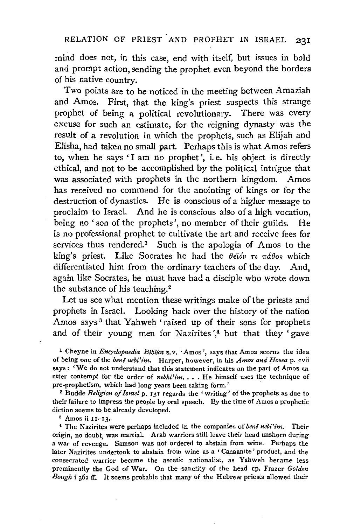mind does not, in this case, end with itself, but issues in bold and prompt action, sending the prophet even beyond the borders of his native country.

Two points are to be noticed in the meeting between Amaziah and Amos. First, that the king's priest suspects this strange prophet of being a political revolutionary. There was every excuse for such an estimate, for the reigning dynasty was the result of a revolution in which the prophets, such as Elijah and Elisha, had taken no small part. Perhaps this is what Amos refers to, when he says 'I am no prophet', i.e. his object is directly ethical, and not to be accomplished by the political intrigue that was associated with prophets in the northern kingdom. Amos has received no command for the anointing of kings or for the destruction of dynasties. He is conscious of a higher message to proclaim to Israel. And he is conscious also of a high vocation, being no 'son of the prophets', no member of their guilds. He is no professional prophet to cultivate the art and receive fees for services thus rendered.<sup>1</sup> Such is the apologia of Amos to the king's priest. Like Socrates he had the  $\theta \epsilon \hat{i} \phi \nu \tau \iota \pi d\theta$ os which differentiated him from the ordinary teachers of the day. And, again like Socrates, he must have had a disciple who wrote down the substance of his teaching.<sup>2</sup>

Let us see what mention these writings make of the priests and prophets in Israel. Looking back over the history of the nation Amos says<sup>3</sup> that Yahweh 'raised up of their sons for prophets and of their young men for Nazirites',<sup>4</sup> but that they 'gave

1 Cheyne in *Encyclopaedia Biblica* s. v. 'Amos ', says that Amos scorns the idea of being one of the *bene nebi'im.* Harper, however, in his *Amos and Hosea* p. cvii says : ' We do not understand that this statement indicates on the part of Amos an utter contempt for the order of *nebhi'im*.  $\ldots$  He himself uses the technique of pre-prophetism, which had long years been taking form.'

<sup>2</sup> Budde *Religion of Israel* p. 131 regards the 'writing' of the prophets as due to their failure to impress the people by oral speech. By the time of Amos a prophetic diction seems to be already developed.<br><sup>3</sup> Amos ii  $11-13$ .

4 The Nazirites were perhaps included in the companies of *bene nebi'im.* Their origin, no doubt, was martial. Arab warriors still leave their head unshorn during a war of revenge. Samson was not ordered to abstain from wine. Perhaps the later Nazirites undertook to abstain from wine as a 'Canaanite' product, and the consecrated warrior became the ascetic nationalist, as Yahweh became less prominently the God of War. On the sanctity of the head cp. Frazer *Golden Bough* i 362 ff. It seems probable that many of the Hebrew priests allowed their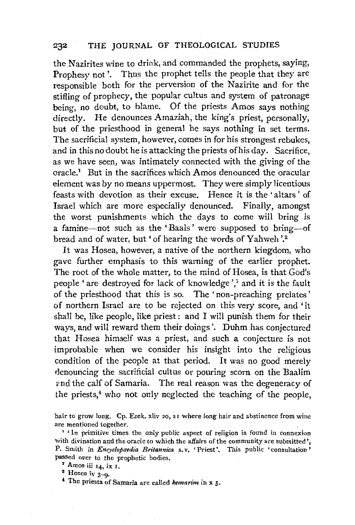the Nazirites wine to drink, and commanded the prophets, saying, Prophesy not'. Thus the prophet tells the people that they are responsible both for the perversion of the Nazirite and for the stifling of prophecy, the popular cultus and system of patronage being, no doubt, to blame. Of the priests Amos says nothing directly. He denounces Amaziah, the king's priest, personally, but of the priesthood in general he says nothing in set terms. The sacrificial system, however, comes in for his strongest rebukes, and in this no doubt he is attacking the priests of his day. Sacrifice, as we have seen, was intimately connected with the giving of the oracle.1 But in the sacrifices which Amos denounced the oracular element was by no means uppermost. They were simply licentious feasts with devotion as their excuse. Hence it is the 'altars' of Israel which are more especially denounced. Finally, amongst the worst punishments which the days to come will bring is a famine-not such as the 'Baals' were supposed to bring-of bread and of water, but' of hearing the words of Yahweh '.2

It was Hosea, however, a native of the northern kingdom, who gave further emphasis to this warning of the earlier prophet. The root of the whole matter, to the mind of Hosea, is that God's people 'are destroyed for lack of knowledge ',3 and it is the fault of the priesthood that this is so. The ' non-preaching prelates ' of northern Israel are to be rejected on this very score, and 'it shall be, like people, like priest : and I will punish them for their ways, and will reward them their doings'. Duhm has conjectured that Hosea himself was a priest, and such a conjecture is not improbable when we consider his insight into the religious condition of the people at that period. It was no good merely denouncing the sacrificial cultus or pouring scorn on the Baalim and the calf of Samaria. The real reason was the degeneracy of the priests, $4$  who not only neglected the teaching of the people,

hair to grow long. Cp. Ezek. xliv 20, 21 where long hair and abstinence from wine are mentioned together.

<sup>&</sup>lt;sup>1</sup> 'In primitive times the only public aspect of religion is found in connexion with divination and the oracle to which the affairs of the community are submitted', P. Smith in *Encyclopaedia Britannica* s.v. 'Priest'. This public 'consultation' passed over to the prophetic bodies.<br> $2$  Amos iii 14, ix 1.

<sup>&</sup>lt;sup>3</sup> Hosea iv 3-9.

<sup>&#</sup>x27; The priests of Samaria are called *kemarim* in x 5.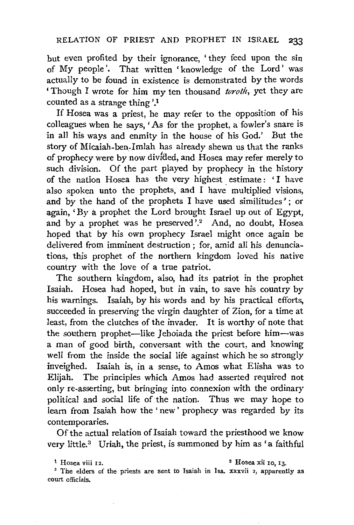but even profited by their ignorance, ' they feed upon the sin of My people'. That written 'knowledge of the Lord' was actually to be found in existence is demonstrated by the words 'Though I wrote for him my ten thousand *toroth,* yet they are counted as a strange thing '.<sup>1</sup>

If Hosea was a priest, he may refer to the opposition of his colleagues when he says,' As for the prophet, a fowler's snare is in all his ways and enmity in the house of his God.' But the story of Micaiah-ben-Imlah has already shewn us that the ranks of prophecy were by now divided, and Hosea may refer merely to such division. Of the part played by prophecy in the history of the nation Hosea has the very highest estimate: 'I have also spoken unto the prophets, and I have multiplied visions, and by the hand of the prophets I have used similitudes': or again, 'By a prophet the Lord brought Israel up out of Egypt, and by a prophet was he preserved'.<sup>2</sup> And, no doubt, Hosea hoped that by his own prophecy Israel might once again be delivered from imminent destruction ; for, amid all his denunciations, this prophet of the northern kingdom loved his native country with the love of a true patriot.

The southern kingdom, also, had its patriot in the prophet Isaiah. Hosea had hoped, but in vain, to save his country by his warnings. Isaiah, by his words and by his practical efforts, succeeded in preserving the virgin daughter of Zion, for a time at least, from the clutches of the invader. It is worthy of note that the southern prophet-like J ehoiada the priest before him-was a man of good birth, conversant with the court, and knowing well from the inside the social life against which he so strongly inveighed. Isaiah is, in a sense, to Amos what Elisha was to Elijah. The principles which Amos had asserted required not only re-asserting, but bringing into connexion with the ordinary political and social life of the nation. Thus we may hope to learn from Isaiah how the ' new' prophecy was regarded by its contemporaries.

Of the actual relation of Isaiah toward the priesthood we know very little.<sup>3</sup> Uriah, the priest, is summoned by him as 'a faithful

<sup>&</sup>lt;sup>1</sup> Hosea viii 12. <sup>2</sup> Hosea xii 10, 13. <sup>3</sup> The elders of the priests are sent to Isaiah in Isa. xxxvii 2, apparently as court officials.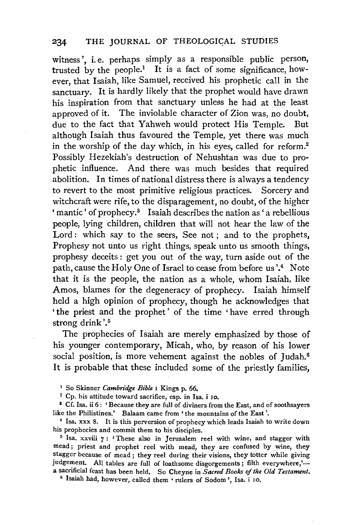witness', i.e. perhaps simply as a responsible public person, trusted by the people.<sup>1</sup> It is a fact of some significance, however, that Isaiah, like Samuel, received his prophetic call in the sanctuary. It is hardly likely that the prophet would have drawn his inspiration from that sanctuary unless he had at the least approved of it. The inviolable character of Zion was, no doubt, due to the fact that Yahweh would protect His Temple. But although Isaiah thus favoured the Temple, yet there was much in the worship of the day which, in his eyes, called for reform.<sup>2</sup> Possibly Hezekiah's destruction of Nehushtan was due to prophetic influence. And there was much besides that required abolition. In times of national distress there is always a tendency to revert to the most primitive religious practices. Sorcery and witchcraft were rife, to the disparagement, no doubt, of the higher 'mantic' of prophecy.3 Isaiah describes the nation as' a rebellious people, lying children, children that will not hear the law of the Lord: which say to the seers, See not; and to the prophets, Prophesy not unto us right things, speak unto us smooth things, prophesy deceits : get you out of the way, tum aside out of the path, cause the Holy One of Israel to cease from before us'.<sup>4</sup> Note that it is the people, the nation as a whole, whom Isaiah, like Amos, blames for the degeneracy of prophecy. Isaiah himself held a high opinion of prophecy, though he acknowledges that 'the priest and the prophet' of the time 'have erred through strong drink'.<sup>5</sup>

The prophecies of Isaiah are merely emphasized by those of his younger contemporary, Micah, who, by reason of his lower social position, is more vehement against the nobles of Judah.<sup>6</sup> It is probable that these included some of the priestly families,

<sup>1</sup> So Skinner *Cambridge Bible* I Kings p. 66.<br><sup>2</sup> Cp. his attitude toward sacrifice, esp. in Isa. i 10.

<sup>3</sup> Cf. Isa. ii 6: 'Because they are full of diviners from the East, and of soothsayers like the Philistines.' Balaam came from 'the mountains of the East'.

<sup>4</sup> Isa.  $xxx 8$ . It is this perversion of prophecy which leads Isaiah to write down his prophecies and commit them to his disciples.

<sup>5</sup> Isa. xxviii 7 : 'These also in Jerusalem reel with wine, and stagger with mead; priest and prophet reel with mead, they are confused by wine, they stagger because of mead ; they reel during their visions, they totter while giving judgement. All tables are full of loathsome disgorgements; filth everywhere,'a sacrificial feast has been held. So Cheyne in *Sacred Books of the Old Testament.* 6 Isaiah had, however, called them 'rulers of Sodom', Isa. i 10.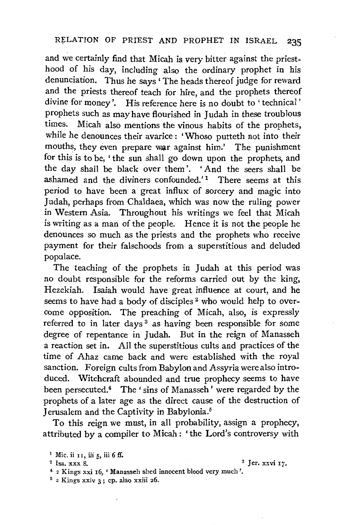and we certainly find that Micah is very bitter against the priesthood of his day, including also the ordinary prophet in his denunciation. Thus he says 'The heads thereof judge for reward and the priests thereof teach for hire, and the prophets thereof divine for money'. His reference here is no doubt to ' technical ' prophets such as may have flourished in Judah in these troublous times. Micah also mentions the vinous habits of the prophets, while he denounces their avarice : ' Whoso putteth not into their mouths, they even prepare war against him.' The punishment for this is to be, ' the sun shall go down upon the prophets, and the day shall be black over them'. 'And the seers shall be ashamed and the diviners confounded.'<sup>1</sup> There seems at this period to have been a great influx of sorcery and magic into Judah, perhaps from Chaldaea, which was now the ruling power in Western Asia. Throughout his writings we feel that Micah is writing as a man of the people. Hence it is not the people he denounces so much as the priests and the prophets who receive payment for their falsehoods from a superstitious and deluded populace.

The teaching of the prophets in Judah at this period was no doubt responsible for the reforms carried out by the king, Hezekiah. Isaiah would have great influence at court, and he seems to have had a body of disciples<sup>2</sup> who would help to overcome opposition. The preaching of Micah, also, is expressly referred to in later days<sup>3</sup> as having been responsible for some degree of repentance in Judah. But in the reign of Manasseh a reaction set in. All the superstitious cults and practices of the time of Ahaz came back and were established with the royal sanction. Foreign cults from Babylon and Assyria were also introduced. Witchcraft abounded and true prophecy seems to have been persecuted.<sup>4</sup> The 'sins of Manasseh' were regarded by the prophets of a later age as the direct cause of the destruction of Jerusalem and the Captivity in Babylonia.5

To this reign we must, in all probability, assign a prophecy, attributed by a compiler to Micah : 'the Lord's controversy with

<sup>1</sup> Mic. ii 11, iii 5, iii 6 ff.  $\frac{2 \text{ Isa. } \text{xxx 8.}}{2 \text{ Isa. } \text{xxx 8.}}$   $\frac{3 \text{ Jer. } \text{xxvi 17.}}{2 \text{ Kings xxiv 3; cp. also xxiii 26.}}$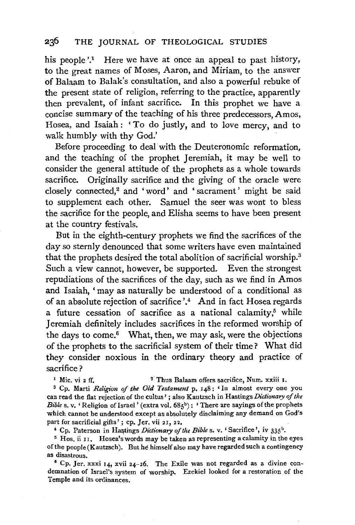his people '.<sup>1</sup> Here we have at once an appeal to past history, to the great names of Moses, Aaron, and Miriam, to the answer of Balaam to Balak's consultation, and also a powerful rebuke of the present state of religion, referring to the practice, apparently then prevalent, of infant sacrifice. In this prophet we have a concise summary of the teaching of his three predecessors, Amos, Hosea, and Isaiah: 'To do justly, and to love mercy, and to walk humbly with thy God.'

Before proceeding to deal with the Deuteronomic reformation, and the teaching of the prophet Jeremiah, it may be well to consider the general attitude of the prophets as a whole towards sacrifice. Originally sacrifice and the giving of the oracle were closely connected,<sup>2</sup> and 'word' and 'sacrament' might be said to supplement each other. Samuel the seer was wont to bless the sacrifice for the people, and Elisha seems to have been present at the country festivals.

But in the eighth-century prophets we find the sacrifices of the day so sternly denounced that some writers have even maintained that the prophets desired the total abolition of sacrificial worship.<sup>3</sup> Such a view cannot, however, be supported. Even the strongest repudiations of the sacrifices of the day, such as we find in Amos and Isaiah, ' may as naturally be understood of a conditional as of an absolute rejection of sacrifice '.4 And in fact Hosea regards a future cessation of sacrifice as a national calamity,<sup>5</sup> while Jeremiah definitely includes sacrifices in the reformed worship of the days to come.<sup>6</sup> What, then, we may ask, were the objections of the prophets to the sacrificial system of their time? What did they consider noxious in the ordinary theory and practice of sacrifice?

<sup>1</sup> Mic. vi 2 ff. <sup>2</sup> Thus Balaam offers sacrifice, Num. xxiii 1.

3 Cp. Marti *Religion of the Old Testament* p. 148 : ' In almost every one you can read the flat rejection of the cultus' ; also Kautzsch in Hastings *Dictionary of the Bible* s. v. 'Religion of Israel' (extra vol. 685<sup>b</sup>): 'There are sayings of the prophets which cannot be understood except as absolutely disclaiming any demand on God's part for sacrificial gifts'; cp. ]er. vii 21, 22.

<sup>4</sup> Cp. Paterson in Hastings *Dictionary of the Bible* s. v. 'Sacrifice', iv 335<sup>b</sup>.

<sup>5</sup> Hos. ii 11. Hosea's words may be taken as representing a calamity in the eyes of the people (Kautzsch). But he himself also may have regarded such a contingency as disastrous.

6 Cp. Jer. xxxi 14, xvii 24-26. The Exile was not regarded as a divine condemnation of Israel's system of worship. Ezekiel looked for a restoration of the Temple and its ordinances.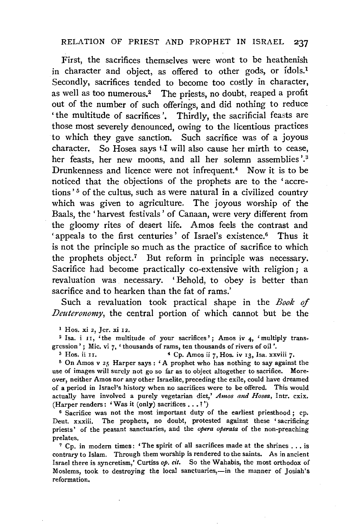RELATION OF PRIEST AND PROPHET IN ISRAEL 237

First, the sacrifices themselves were wont to be heathenish in character and object, as offered to other gods, or  $idols.<sup>1</sup>$ Secondly, sacrifices tended to become too costly in character, as well as too numerous.2 The priests, no doubt, reaped a profit out of the number of such offerings, and did nothing to reduce 'the multitude of sacrifices'. Thirdly, the sacrificial feasts are those most severely denounced, owing to the licentious practices to which they gave sanction. Such sacrifice was of a joyous character. So Hosea says <sup>1</sup>.I will also cause her mirth to cease, her feasts, her new moons, and all her solemn assemblies'.<sup>3</sup> Drunkenness and licence were not infrequent.<sup>4</sup> Now it is to be noticed that the objections of the prophets are to the 'accretions'<sup> $5$ </sup> of the cultus, such as were natural in a civilized country which was given to agriculture. The joyous worship of the Baals, the 'harvest festivals ' of Canaan, were very different from the gloomy rites of desert life. Amos feels the contrast and 'appeals to the first centuries' of Israel's existence.<sup>6</sup> Thus it is not the principle so much as the practice of sacrifice to which the prophets object.7 But reform in principle was necessary. Sacrifice had become practically co-extensive with religion; a revaluation was necessary. 'Behold, to obey is better than sacrifice and to hearken than the fat of rams.'

Such a revaluation took practical shape in the *Book of Deuteronomy,* the central portion of which cannot but be the

I Hos. xi 2, Jer. xi 12.

<sup>2</sup> Isa. i 11, 'the multitude of your sacrifices'; Amos iv 4, ' multiply transgression'; Mic. vi 7, ' thousands of rams, ten thousands of rivers of oil'.

<sup>3</sup> Hos. ii II.  $\cdot$  <sup>4</sup> Cp. Amos ii 7, Hos. iv 13, Isa. xxviii 7. <sup>5</sup> On Amos v 25 Harper says: 'A prophet who has nothing to say against the use of images will surely not go so far as to object altogether to sacrifice. Moreover, neither Amos nor any other Israelite, preceding the exile, could have dreamed of a period in Israel's history when no sacrifices were to be offered. This would actually have involved a purely vegetarian diet,' *Amos and Hosea,* Intr. cxix. (Harper renders: 'Was it (only) sacrifices  $\dots$ !')

<sup>6</sup> Sacrifice was not the most important duty of the earliest priesthood; cp. Deut. xxxiii. The prophets, no doubt, protested against these 'sacrificing priests' of the peasant sanctuaries, and the *opera operata* of the non-preaching prelates.

7 Cp. in modern times: 'The spirit of all sacrifices made at the shrines ..• is contrary to Islam. Through them worship is rendered to the saints. As in ancient Israel there is syncretism,' Curtiss *op. cit.* So the Wahabis, the most orthodox of Moslems, took to destroying the local sanctuaries,-in the manner of Josiah's reformation.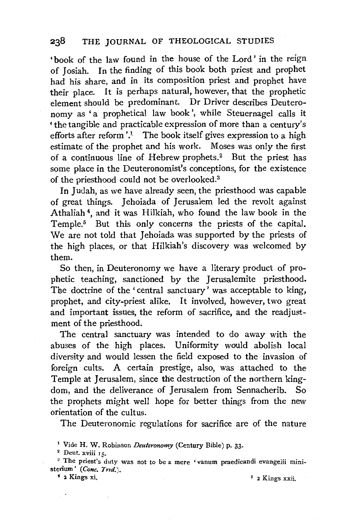'book of the law found in the house of the Lord' in the reign of Josiah. In the finding of this book both priest and prophet had his share, and in its composition priest and prophet have their place. It is perhaps natural, however, that the prophetic element should be predominant. Dr Driver describes Deuteronomy as 'a prophetical law book', while Steuernagel calls it ' the tangible and practicable expression of more than a century's efforts after reform'.<sup>1</sup> The book itself gives expression to a high estimate of the prophet and his work. Moses was only the first of a continuous line of Hebrew prophets.2 But the priest has some place in the Deuteronomist's conceptions, for the existence of the priesthood could not be overlooked.3

In Judah, as we have already seen, the priesthood was capable of great things. Jehoiada of Jerusalem led the revolt against Athaliah 4, and it was Hilkiah, who found the law book in the Temple.5 But this only concerns the priests of the capital. We are not told that Jehoiada was supported by the priests of the high places, or that Hilkiah's discovery was welcomed by them.

So then, in Deuteronomy we have a literary product of prophetic teaching, sanctioned by the Jerusalemite priesthood. The doctrine of the 'central sanctuary' was acceptable to king, prophet, and city-priest alike. It involved, however, two great and important issues, the reform of sacrifice, and the readjustment of the priesthood.

The central sanctuary was intended to do away with the abuses of the high places. Uniformity would abolish local diversity and would lessen the field exposed to the invasion of foreign cults. A certain prestige, also, was attached to the Temple at Jerusalem, since the destruction of the northern kingdom, and the deliverance of Jerusalem from Sennacherib. So the prophets might well hope for better things from the new orientation of the cultus.

The Deuteronomic regulations for sacrifice are of the nature

 $\ddot{\phantom{a}}$ 

<sup>5</sup> 2 Kings xxii.

<sup>&</sup>lt;sup>1</sup> Vide H. W. Robinson *Deuteronomy* (Century Bible) p. 33.<br><sup>2</sup> Deut. xviii 15.<br><sup>3</sup> The priest's duty was not to be a mere ' vanum praedicandi evangelii ministerium' *(Conc. Trid.)*.<br><sup>4</sup> 2 Kings xi.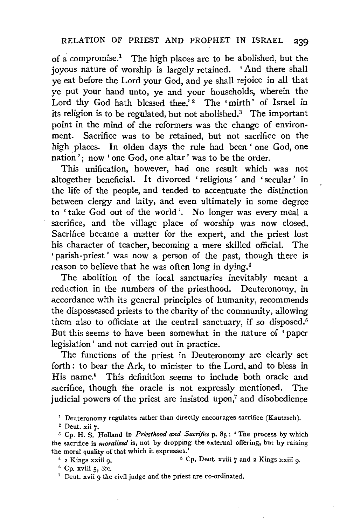# RELATION OF PRIEST AND PROPHET IN ISRAEL 239

of a compromise.1 The high places are to be abolished, but the joyous nature of worship is largely retained. 'And there shall ye eat before the Lord your God, and ye shall rejoice in all that ye put your hand unto, ye and your households, wherein the Lord thy God hath blessed thee.'<sup>2</sup> The 'mirth' of Israel in its religion is to be regulated, but not abolished.3 The important point in the mind of the reformers was the change of environment. Sacrifice was to be retained, but not sacrifice on the high places. In olden days the rule had been 'one God, one nation'; now 'one God, one altar' was to be the order.

This unification, however, had one result which was not altogether beneficial. It divorced ' religious ' and ' secular ' in the life of the people, and tended to accentuate the distinction between clergy and laity, and even ultimately in some degree to 'take God out of the world'. No longer was every meal a sacrifice, and the village place of worship was now closed. Sacrifice became a matter for the expert, and the priest lost his character of teacher, becoming a mere skilled official. The 'parish-priest' was now a person of the past, though there is reason to believe that he was often long in dying. <sup>4</sup>

The abolition of the local sanctuaries inevitably meant a reduction in the numbers of the priesthood. Deuteronomy, in accordance with its general principles of humanity, recommends the dispossessed priests to the charity of the community, allowing them also to officiate at the central sanctuary, if so disposed.<sup>5</sup> But this seems to have been somewhat in the nature of 'paper legislation ' and not carried out in practice.

The functions of the priest in Deuteronomy are clearly set forth: to bear the Ark, to minister to the Lord, and to bless in His name.6 This definition seems to include both oracle and sacrifice, though the oracle is not expressly mentioned. The judicial powers of the priest are insisted upon,<sup>7</sup> and disobedience

<sup>1</sup> Deuteronomy regulates rather than directly encourages sacrifice (Kautzsch).

<sup>2</sup> Deut. xii *7.* 

<sup>3</sup> Cp. H. S. Holland in *Priesthood and Sacnfice* p. 85 : ' The process by which the sacrifice is *moralised* is, not by dropping the external offering, but by raising the moral quality of that which it expresses.'<br>  $\begin{array}{c} \n\text{4} \quad \text{2} \quad \text{Kines xxiii} \quad \text{o.} \\
\text{5} \quad \text{4} \quad \text{5} \quad \text{Cp.} \quad \text{Deut.} \quad \text{2} \quad \text{5} \quad \text{2} \quad \text{Kings xxiii} \quad \text{o.} \n\end{array}$ 

<sup>&</sup>lt;sup>4</sup> 2 Kings xxiii 9.  $^6$  Cp. Deut. xviii *7* an<br>
<sup>6</sup> Cp. xviii 5, &c. 7 Deut. xvii 9 the civil judge and the priest are co-ordinated.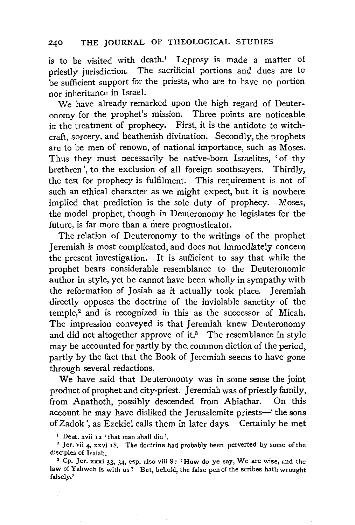is to be visited with death.<sup>1</sup> Leprosy is made a matter of priestly jurisdiction. The sacrificial portions and dues are to be sufficient support for the priests, who are to have no portion nor inheritance in Israel.

We have already remarked upon the high regard of Deuteronomy for the prophet's mission. Three points are noticeable in the treatment of prophecy. First, it is the antidote to witchcraft, sorcery, and heathenish divination. Secondly, the prophets are to be men of renown, of national importance, such as Moses. Thus they must necessarily be native-born Israelites, 'of thy brethren', to the exclusion of all foreign soothsayers. Thirdly, the test for prophecy is fulfilment. This requirement is not of such an ethical character as we might expect, but it is nowhere implied that prediction is the sole duty of prophecy. Moses, the model prophet, though in Deuteronomy he legislates for the future, is far more than a mere prognosticator.

The relation of Deuteronomy to the writings of the prophet Jeremiah is most complicated, and does not immediately concern the present investigation. It is sufficient to say that while the prophet bears considerable resemblance to the Deuteronomic author in style, yet he cannot have been wholly in sympathy with the reformation of Josiah as it actually took place. Jeremiah directly opposes the doctrine of the inviolable sanctity of the temple,<sup>2</sup> and is recognized in this as the successor of Micah. The impression conveyed is that Jeremiah knew Deuteronomy and did not altogether approve of it.<sup>3</sup> The resemblance in style may be accounted for partly by the. common diction of the period, partly by the fact that the Book of Jeremiah seems to have gone through several redactions.

We have said that Deuteronomy was in some sense the joint product of prophet and city-priest. Jeremiah was of priestly family, from Anathoth, possibly descended from Abiathar. On this account he may have disliked the Jerusalemite priests—' the sons of Zadok ', as Ezekiel calls them in later days. Certainly he met

<sup>&</sup>lt;sup>1</sup> Deut. xvii 12 'that man shall die '.<br><sup>2</sup> Jer. vii 4, xxvi 18. The doctrine had probably been perverted by some of the disciples of Isaiah.

<sup>&</sup>lt;sup>3</sup> Cp. Jer. xxxi 33, 34, esp. also viii  $8:$  'How do ye say, We are wise, and the law of Yahweh is with us? But, behold, the false pen of the scribes hath wrought falsely.'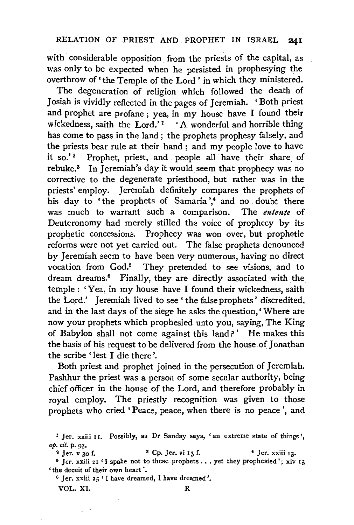with considerable opposition from the priests of the capital, as was only to be expected when he persisted in prophesying the overthrow of' the Temple of the Lord' in which they ministered.

The degeneration of religion which followed the death of Josiah is vividly reflected in the pages of Jeremiah. 'Both priest and prophet are profane ; yea, in my house have I found their wickedness, saith the Lord.'<sup>1</sup> 'A wonderful and horrible thing has come to pass in the land ; the prophets prophesy falsely, and the priests bear rule at their hand ; and my people love to have it so.'<sup>2</sup> Prophet, priest, and people all have their share of rebuke.<sup>3</sup> In Jeremiah's day it would seem that prophecy was no corrective to the degenerate priesthood, but rather was in the priests' employ. Jeremiah definitely compares the prophets of his day to 'the prophets of Samaria',<sup>4</sup> and no doubt there was much to warrant such a comparison. The *entente* of Deuteronomy had merely stilled the voice of prophecy by its prophetic concessions. Prophecy was won over, but prophetic reforms were not yet carried out. The false prophets denounced by Jeremiah seem to have been very numerous, having no direct vocation from God.5 They pretended to see visions, and to dream dreams.<sup>6</sup> Finally, they are directly associated with the temple : 'Yea, in my house have I found their wickedness, saith the Lord.' Jeremiah lived to see ' the false prophets ' discredited, and in the last days of the siege he asks the question,' Where are now your prophets which prophesied unto you, saying, The King of Babylon shall not come against this land? ' He makes this the basis of his request to be delivered from the house of Jonathan the scribe 'lest I die there'.

Both priest and prophet joined in the persecution of Jeremiah. Pashhur the priest was a person of some secular authority, being chief officer in the house of the Lord, and therefore probably in royal employ. The priestly recognition was given to those prophets who cried ' Peace, peace, when there is no peace ', and

VOL. XI.

<sup>&</sup>lt;sup>1</sup> Jer. xxiii II. Possibly, as Dr Sanday says, 'an extreme state of things', *op. cit.* p. 93.

<sup>&</sup>lt;sup>2</sup> Jer. v 30 f. <sup>8</sup> Cp. Jer. vi 13 f. **4** Jer. xxiii 13.<br><sup>5</sup> Jer. xxiii 21 'I spake not to these prophets ... yet they prophesied'; xiv 13 'the deceit of their own heart '.

<sup>6</sup> Jer. xxiii 25 'I have dreamed, I have dreamed'.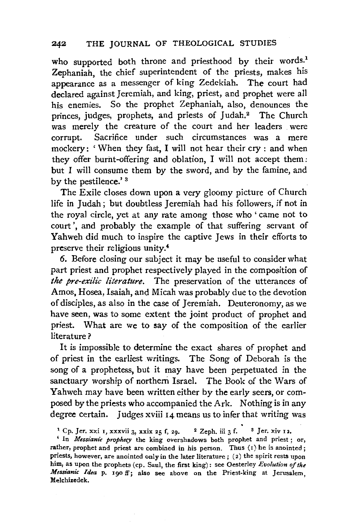who supported both throne and priesthood by their words.<sup>1</sup> Zephaniah, the chief superintendent of the priests, makes his appearance as a messenger of king Zedekiah. The court had declared against Jeremiah, and king, priest, and prophet were all his enemies. So the prophet Zephaniah, also, denounces the princes, judges, prophets, and priests of Judah.<sup>2</sup> The Church was merely the creature of the court and her leaders were corrupt. Sacrifice under such circumstances was a mere mockery : ' When they fast, I will not hear their cry : and when they offer burnt-offering and oblation, I will not accept them: but I will consume them by the sword, and by the famine, and by the pestilence.'<sup>3</sup>

The Exile closes down upon a very gloomy picture of Church life in Judah ; but doubtless Jeremiah had his followers, if not in the royal circle, yet at any rate among those who ' came not to court', and probably the example of that suffering servant of Yahweh did much to inspire the captive Jews in their efforts to preserve their religious unity.<sup>4</sup>

6. Before closing our subject it may be useful to consider what part priest and prophet respectively played in the composition of *the pre-exz'lic literature.* The preservation of the utterances of Amos, Hosea, Isaiah, and Micah was probably due to the devotion of disciples, as also in the case of Jeremiah. Deuteronomy, as we have seen, was to some extent the joint product of prophet and priest. What are we to say of the composition of the earlier literature?

It is impossible to determine the exact shares of prophet and of priest in the earliest writings. The Song of Deborah is the song of a prophetess, but it may have been perpetuated in the sanctuary worship of northern Israel. The Book of the Wars of Yahweh may have been written either by the early seers, or composed by the priests who accompanied the Ark. Nothing is in any degree certain. Judges xviii 14 means us to infer that writing was

<sup>1</sup> Cp. Jer. xxi 1, xxxvii 3, xxix 25 f, 29. <sup>2</sup> Zeph. iii 3 f. <sup>8</sup> Jer. xiv 12.

• In *Messianic prophecy* the king overshadows both prophet and priest; or, rather, prophet and priest are combined in his person. Thus  $(1)$  he is anointed; priests, however, are anointed only in the later literature ; ( 2) the spirit rests upon him, as upon the prophets (cp. Saul, the first king): see Oesterley *Evolution of the Messianic Idea* p. 190 ff; also see above on the Priest-king at Jerusalem, Melchizedek.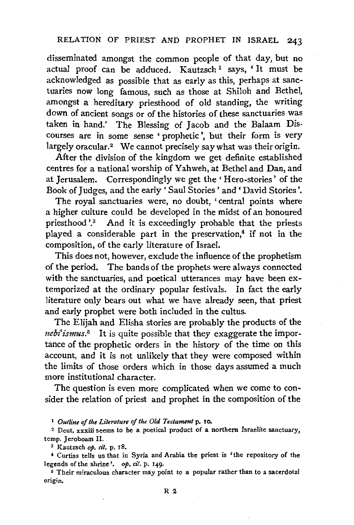#### RELATION OF PRIEST AND PROPHET IN ISRAEL 243

disseminated amongst the common people of that day, but no actual proof can be adduced. Kautzsch 1 says, ' It must be acknowledged as possible that as early as this, perhaps at sanctuaries now long famous, such as those at Shiloh and Bethel, amongst a hereditary priesthood of old standing, the writing down of ancient songs or of the histories of these sanctuaries was taken in hand.' The Blessing of Jacob and the Balaam Discourses are in some sense ' prophetic ', but their form is very largely oracular.<sup>2</sup> We cannot precisely say what was their origin.

After the division of the kingdom we get definite established centres for a national worship of Yahweh, at Bethel and Dan, and at Jerusalem. Correspondingly we get the 'Hero-stories' of the Book of Judges, and the early' Saul Stories' and' David Stories'.

The royal sanctuaries were, no doubt, 'central points where a higher culture could be developed in the midst of an honoured priesthood '.<sup>3</sup> And it is exceedingly probable that the priests played a considerable part in the preservation,<sup>4</sup> if not in the composition, of the early literature of Israel.

This does not, however, exclude the influence of the prophetism of the period. The bands of the prophets were always connected with the sanctuaries, and poetical utterances may have been extemporized at the ordinary popular festivals. In fact the early literature only bears out what we have already seen, that priest and early prophet were both included in the cultus.

The Elijah and Elisha stories are probably the products of the *nebi'ismus:5* It is quite possible that they exaggerate the importance of the prophetic orders in the history of the time on this account, and it is not unlikely that they were composed within the limits of those orders which in those days assumed a much more institutional character.

The question is even more complicated when we come to consider the relation of priest and prophet in the composition of the

<sup>1</sup>*Outline of the Literature of the Old Testament* p. 10.

2 Deut. xxxiii seems to be a poetical product of a northern Israelite sanctuary, temp. Jeroboam II.

s Kautzsch *op. cit.* p. I 8.

' Curtiss tells us that in Syria and Arabia the priest is 'the repository of the legends of the shrine'. *op. cit.* p. 149.

<sup>5</sup> Their miraculous character may point to a popular rather than to a sacerdotal origin.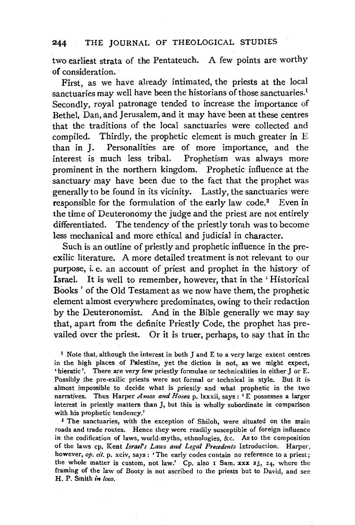two earliest strata of the Pentateuch. A few points are worthy of consideration.

First, as we have already intimated, the priests at the local sanctuaries may well have been the historians of those sanctuaries.<sup>1</sup> Secondly, royal patronage tended to increase the importance of Bethel, Dan, and Jerusalem, and it may have been at these centres that the traditions of the local sanctuaries were collected and compiled. Thirdly, the prophetic element is much greater in E than in J. Personalities are of more importance, and the interest is much less tribal. Prophetism was always more prominent in the northern kingdom. Prophetic influence at the sanctuary may have been due to the fact that the prophet was generally to be found in its vicinity. Lastly, the sanctuaries were responsible for the formulation of the early law code.<sup>2</sup> Even in the time of Deuteronomy the judge and the priest are not entirely differentiated. The tendency of the priestly torah was to become less mechanical and more ethical and judicial in character.

Such is an outline of priestly and prophetic influence in the preexilic literature. A more detailed treatment is not relevant to our purpose, i. e. an account of priest and prophet in the history of Israel. It is well to remember, however, that in the 'Historical Books ' of the Old Testament as we now have them, the prophetic element almost everywhere predominates, owing to their redaction by the Deuteronomist. And in the Bible generally we may say that, apart from the definite Priestly Code, the prophet has prevailed over the priest. Or it is truer, perhaps, to say that in the

1 Note that, although the interest in both J and E to a very large extent centres in the high places of Palestine, yet the diction is not, as we might expect, 'hieratic'. There are very few priestly formulae or technicalities in either J or E. Possibly the pre·exilic priests were' not formal or technical in style. But it is almost impossible to decide what is priestly and what prophetic in the two narratives. Thus Harper *Amos and Hosea* p. lxxxii, says: 'E possesses a larger interest in priestly matters than J, but this is wholly subordinate in comparison with his prophetic tendency.'

<sup>2</sup> The sanctuaries, with the exception of Shiloh, were situated on the main roads and trade routes. Hence they were readily susceptible of foreign influence in the codification of laws, world-myths, ethnologies, &c. As to the composition of the laws cp. Kent *Israel's Laws and Legal Precedents* Introduction. Harper, however, *op. cit.* p. xciv, says: 'The early codes contain no reference to a priest; the whole matter is custom, not law.' Cp. also 1 Sam. xxx 23, 24, where the framing of the law of Booty is not ascribed to the priests but to David, and see H. P. Smith *in loco.*